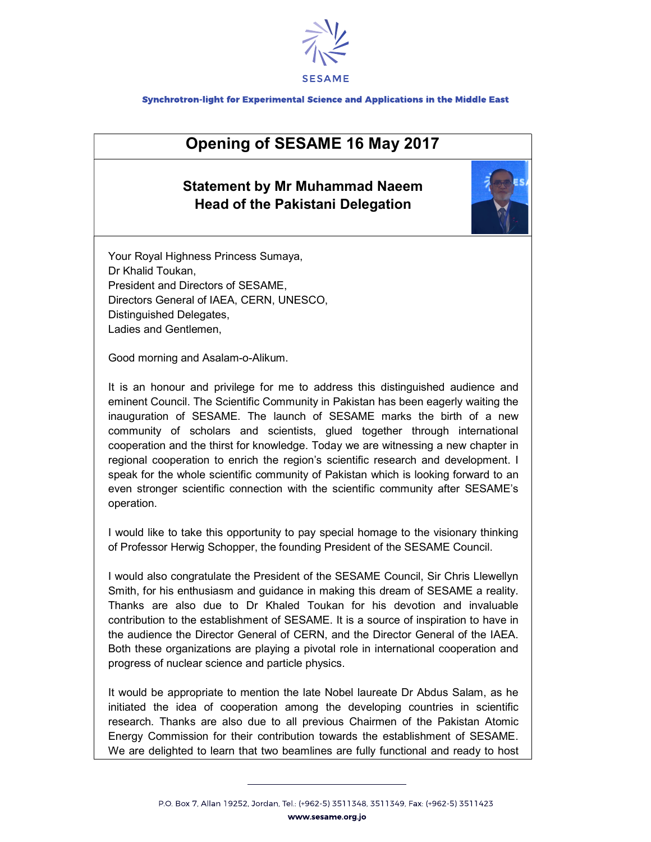

## Synchrotron-light for Experimental Science and Applications in the Middle East

## Opening of SESAME 16 May 2017

## Statement by Mr Muhammad Naeem Head of the Pakistani Delegation



Your Royal Highness Princess Sumaya, Dr Khalid Toukan, President and Directors of SESAME, Directors General of IAEA, CERN, UNESCO, Distinguished Delegates, Ladies and Gentlemen,

Good morning and Asalam-o-Alikum.

It is an honour and privilege for me to address this distinguished audience and eminent Council. The Scientific Community in Pakistan has been eagerly waiting the inauguration of SESAME. The launch of SESAME marks the birth of a new community of scholars and scientists, glued together through international cooperation and the thirst for knowledge. Today we are witnessing a new chapter in regional cooperation to enrich the region's scientific research and development. I speak for the whole scientific community of Pakistan which is looking forward to an even stronger scientific connection with the scientific community after SESAME's operation.

I would like to take this opportunity to pay special homage to the visionary thinking of Professor Herwig Schopper, the founding President of the SESAME Council.

I would also congratulate the President of the SESAME Council, Sir Chris Llewellyn Smith, for his enthusiasm and guidance in making this dream of SESAME a reality. Thanks are also due to Dr Khaled Toukan for his devotion and invaluable contribution to the establishment of SESAME. It is a source of inspiration to have in the audience the Director General of CERN, and the Director General of the IAEA. Both these organizations are playing a pivotal role in international cooperation and progress of nuclear science and particle physics.

It would be appropriate to mention the late Nobel laureate Dr Abdus Salam, as he initiated the idea of cooperation among the developing countries in scientific research. Thanks are also due to all previous Chairmen of the Pakistan Atomic Energy Commission for their contribution towards the establishment of SESAME. We are delighted to learn that two beamlines are fully functional and ready to host